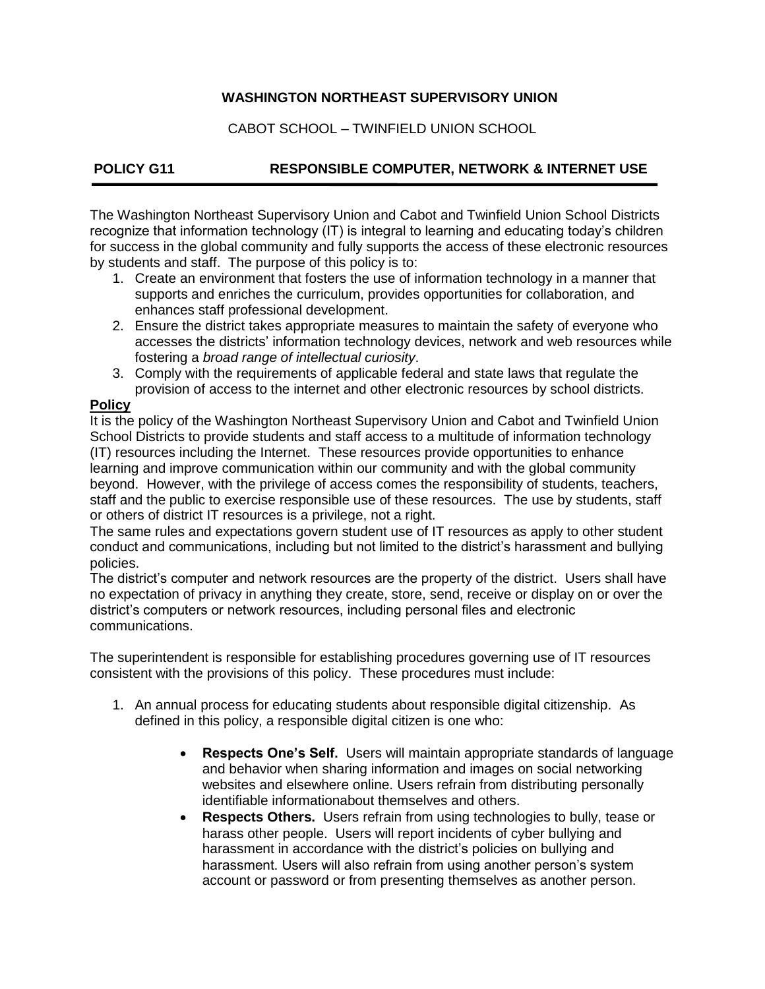## **WASHINGTON NORTHEAST SUPERVISORY UNION**

CABOT SCHOOL – TWINFIELD UNION SCHOOL

# **POLICY G11 RESPONSIBLE COMPUTER, NETWORK & INTERNET USE**

The Washington Northeast Supervisory Union and Cabot and Twinfield Union School Districts recognize that information technology (IT) is integral to learning and educating today's children for success in the global community and fully supports the access of these electronic resources by students and staff. The purpose of this policy is to:

- 1. Create an environment that fosters the use of information technology in a manner that supports and enriches the curriculum, provides opportunities for collaboration, and enhances staff professional development.
- 2. Ensure the district takes appropriate measures to maintain the safety of everyone who accesses the districts' information technology devices, network and web resources while fostering a *broad range of intellectual curiosity*.
- 3. Comply with the requirements of applicable federal and state laws that regulate the provision of access to the internet and other electronic resources by school districts.

### **Policy**

It is the policy of the Washington Northeast Supervisory Union and Cabot and Twinfield Union School Districts to provide students and staff access to a multitude of information technology (IT) resources including the Internet. These resources provide opportunities to enhance learning and improve communication within our community and with the global community beyond. However, with the privilege of access comes the responsibility of students, teachers, staff and the public to exercise responsible use of these resources. The use by students, staff or others of district IT resources is a privilege, not a right.

The same rules and expectations govern student use of IT resources as apply to other student conduct and communications, including but not limited to the district's harassment and bullying policies.

The district's computer and network resources are the property of the district. Users shall have no expectation of privacy in anything they create, store, send, receive or display on or over the district's computers or network resources, including personal files and electronic communications.

The superintendent is responsible for establishing procedures governing use of IT resources consistent with the provisions of this policy. These procedures must include:

- 1. An annual process for educating students about responsible digital citizenship. As defined in this policy, a responsible digital citizen is one who:
	- **Respects One's Self.** Users will maintain appropriate standards of language and behavior when sharing information and images on social networking websites and elsewhere online. Users refrain from distributing personally identifiable informationabout themselves and others.
	- **Respects Others.** Users refrain from using technologies to bully, tease or harass other people. Users will report incidents of cyber bullying and harassment in accordance with the district's policies on bullying and harassment. Users will also refrain from using another person's system account or password or from presenting themselves as another person.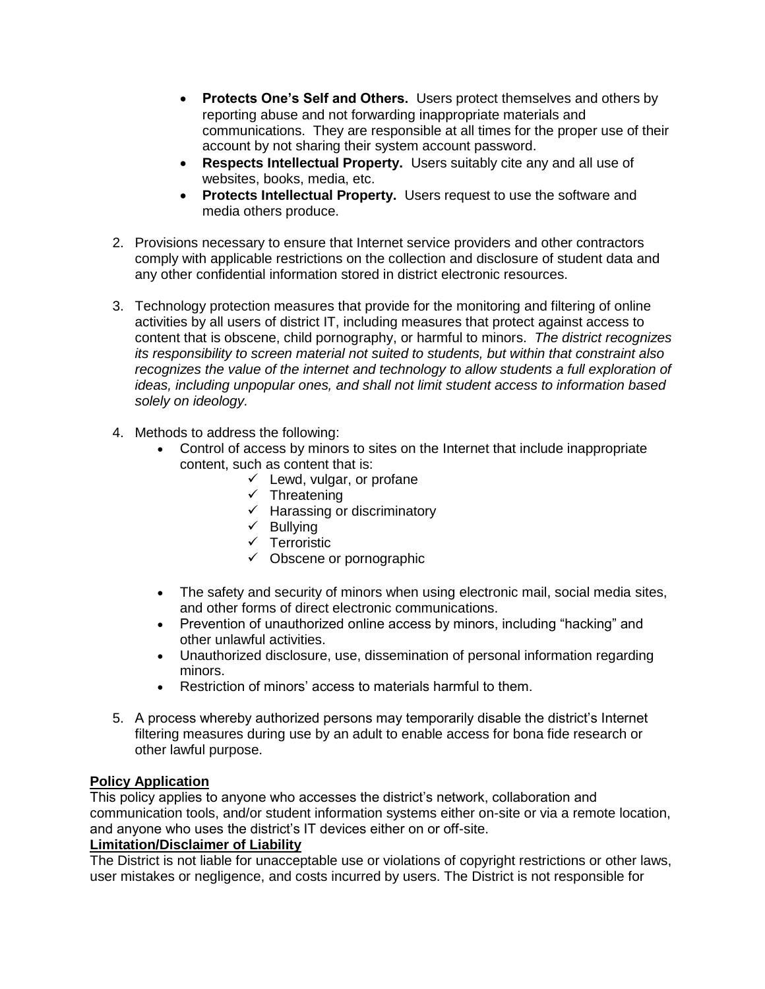- **Protects One's Self and Others.** Users protect themselves and others by reporting abuse and not forwarding inappropriate materials and communications. They are responsible at all times for the proper use of their account by not sharing their system account password.
- **Respects Intellectual Property.** Users suitably cite any and all use of websites, books, media, etc.
- **Protects Intellectual Property.** Users request to use the software and media others produce.
- 2. Provisions necessary to ensure that Internet service providers and other contractors comply with applicable restrictions on the collection and disclosure of student data and any other confidential information stored in district electronic resources.
- 3. Technology protection measures that provide for the monitoring and filtering of online activities by all users of district IT, including measures that protect against access to content that is obscene, child pornography, or harmful to minors. *The district recognizes its responsibility to screen material not suited to students, but within that constraint also recognizes the value of the internet and technology to allow students a full exploration of ideas, including unpopular ones, and shall not limit student access to information based solely on ideology.*
- 4. Methods to address the following:
	- Control of access by minors to sites on the Internet that include inappropriate content, such as content that is:
		- $\checkmark$  Lewd, vulgar, or profane
		- $\checkmark$  Threatening
		- $\checkmark$  Harassing or discriminatory
		- $\checkmark$  Bullying
		- $\checkmark$  Terroristic
		- $\checkmark$  Obscene or pornographic
	- The safety and security of minors when using electronic mail, social media sites, and other forms of direct electronic communications.
	- Prevention of unauthorized online access by minors, including "hacking" and other unlawful activities.
	- Unauthorized disclosure, use, dissemination of personal information regarding minors.
	- Restriction of minors' access to materials harmful to them.
- 5. A process whereby authorized persons may temporarily disable the district's Internet filtering measures during use by an adult to enable access for bona fide research or other lawful purpose.

# **Policy Application**

This policy applies to anyone who accesses the district's network, collaboration and communication tools, and/or student information systems either on-site or via a remote location, and anyone who uses the district's IT devices either on or off-site.

### **Limitation/Disclaimer of Liability**

The District is not liable for unacceptable use or violations of copyright restrictions or other laws, user mistakes or negligence, and costs incurred by users. The District is not responsible for